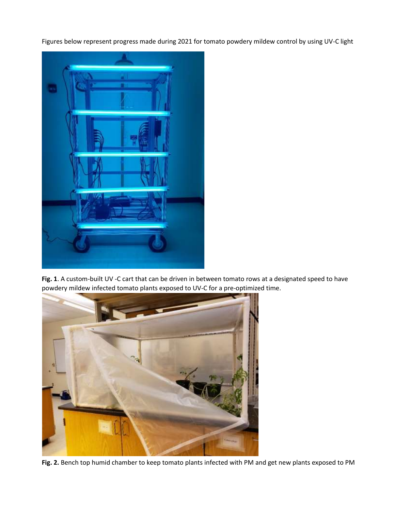Figures below represent progress made during 2021 for tomato powdery mildew control by using UV-C light



**Fig. 1**. A custom-built UV -C cart that can be driven in between tomato rows at a designated speed to have powdery mildew infected tomato plants exposed to UV-C for a pre-optimized time.



**Fig. 2.** Bench top humid chamber to keep tomato plants infected with PM and get new plants exposed to PM